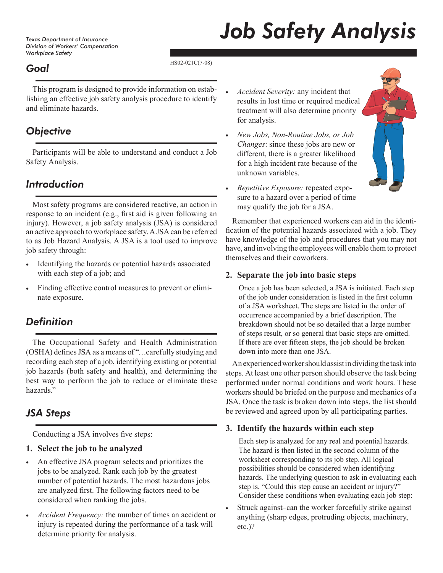*Texas Department of Insurance Division of Workers' Compensation Workplace Safety*

# *Job Safety Analysis*

### *Goal*

HS02-021C(7-08)

This program is designed to provide information on establishing an effective job safety analysis procedure to identify and eliminate hazards.

## *Objective*

Participants will be able to understand and conduct a Job Safety Analysis.

## *Introduction*

Most safety programs are considered reactive, an action in response to an incident (e.g., first aid is given following an injury). However, a job safety analysis (JSA) is considered an active approach to workplace safety. A JSA can be referred to as Job Hazard Analysis. A JSA is a tool used to improve job safety through:

- Identifying the hazards or potential hazards associated with each step of a job; and
- Finding effective control measures to prevent or eliminate exposure.

## *Definition*

The Occupational Safety and Health Administration (OSHA) defines JSA as a means of "…carefully studying and recording each step of a job, identifying existing or potential job hazards (both safety and health), and determining the best way to perform the job to reduce or eliminate these hazards."

## *JSA Steps*

Conducting a JSA involves five steps:

#### **1. Select the job to be analyzed**

- An effective JSA program selects and prioritizes the jobs to be analyzed. Rank each job by the greatest number of potential hazards. The most hazardous jobs are analyzed first. The following factors need to be considered when ranking the jobs.
- *Accident Frequency:* the number of times an accident or injury is repeated during the performance of a task will determine priority for analysis.
- *Accident Severity:* any incident that results in lost time or required medical treatment will also determine priority for analysis.
- *New Jobs, Non-Routine Jobs, or Job Changes*: since these jobs are new or different, there is a greater likelihood for a high incident rate because of the unknown variables.



• *Repetitive Exposure:* repeated exposure to a hazard over a period of time may qualify the job for a JSA.

Remember that experienced workers can aid in the identification of the potential hazards associated with a job. They have knowledge of the job and procedures that you may not have, and involving the employees will enable them to protect themselves and their coworkers.

#### **2. Separate the job into basic steps**

Once a job has been selected, a JSA is initiated. Each step of the job under consideration is listed in the first column of a JSA worksheet. The steps are listed in the order of occurrence accompanied by a brief description. The breakdown should not be so detailed that a large number of steps result, or so general that basic steps are omitted. If there are over fifteen steps, the job should be broken down into more than one JSA.

An experienced worker should assist in dividing the task into steps. At least one other person should observe the task being performed under normal conditions and work hours. These workers should be briefed on the purpose and mechanics of a JSA. Once the task is broken down into steps, the list should be reviewed and agreed upon by all participating parties.

#### **3. Identify the hazards within each step**

Each step is analyzed for any real and potential hazards. The hazard is then listed in the second column of the worksheet corresponding to its job step. All logical possibilities should be considered when identifying hazards. The underlying question to ask in evaluating each step is, "Could this step cause an accident or injury?" Consider these conditions when evaluating each job step:

• Struck against-can the worker forcefully strike against anything (sharp edges, protruding objects, machinery, etc.)?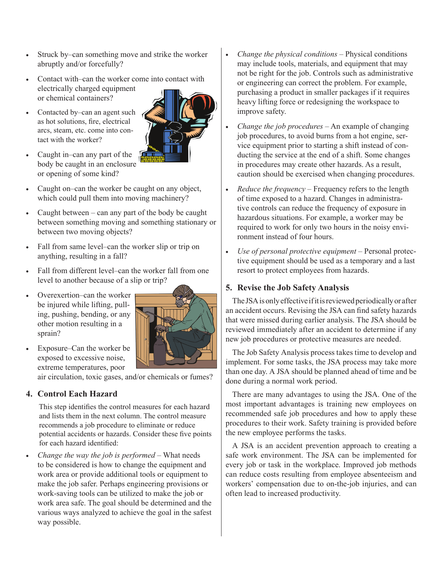- Struck by–can something move and strike the worker abruptly and/or forcefully?
- Contact with–can the worker come into contact with electrically charged equipment or chemical containers?
- Contacted by–can an agent such as hot solutions, fire, electrical arcs, steam, etc. come into contact with the worker?



- Caught in–can any part of the body be caught in an enclosure or opening of some kind?
- Caught on–can the worker be caught on any object, which could pull them into moving machinery?
- Caught between  $-$  can any part of the body be caught between something moving and something stationary or between two moving objects?
- Fall from same level–can the worker slip or trip on anything, resulting in a fall?
- Fall from different level–can the worker fall from one level to another because of a slip or trip?
- Overexertion–can the worker be injured while lifting, pulling, pushing, bending, or any other motion resulting in a sprain?



• Exposure–Can the worker be exposed to excessive noise, extreme temperatures, poor

air circulation, toxic gases, and/or chemicals or fumes?

#### **4. Control Each Hazard**

This step identifies the control measures for each hazard and lists them in the next column. The control measure recommends a job procedure to eliminate or reduce potential accidents or hazards. Consider these five points for each hazard identified:

• *Change the way the job is performed* – What needs to be considered is how to change the equipment and work area or provide additional tools or equipment to make the job safer. Perhaps engineering provisions or work-saving tools can be utilized to make the job or work area safe. The goal should be determined and the various ways analyzed to achieve the goal in the safest way possible.

- *Change the physical conditions*  Physical conditions may include tools, materials, and equipment that may not be right for the job. Controls such as administrative or engineering can correct the problem. For example, purchasing a product in smaller packages if it requires heavy lifting force or redesigning the workspace to improve safety.
- *Change the job procedures*  An example of changing job procedures, to avoid burns from a hot engine, service equipment prior to starting a shift instead of conducting the service at the end of a shift. Some changes in procedures may create other hazards. As a result, caution should be exercised when changing procedures.
- *Reduce the frequency* Frequency refers to the length of time exposed to a hazard. Changes in administrative controls can reduce the frequency of exposure in hazardous situations. For example, a worker may be required to work for only two hours in the noisy environment instead of four hours.
- *Use of personal protective equipment*  Personal protective equipment should be used as a temporary and a last resort to protect employees from hazards.

#### **5. Revise the Job Safety Analysis**

The JSA is only effective if it is reviewed periodically or after an accident occurs. Revising the JSA can find safety hazards that were missed during earlier analysis. The JSA should be reviewed immediately after an accident to determine if any new job procedures or protective measures are needed.

The Job Safety Analysis process takes time to develop and implement. For some tasks, the JSA process may take more than one day. A JSA should be planned ahead of time and be done during a normal work period.

There are many advantages to using the JSA. One of the most important advantages is training new employees on recommended safe job procedures and how to apply these procedures to their work. Safety training is provided before the new employee performs the tasks.

A JSA is an accident prevention approach to creating a safe work environment. The JSA can be implemented for every job or task in the workplace. Improved job methods can reduce costs resulting from employee absenteeism and workers' compensation due to on-the-job injuries, and can often lead to increased productivity.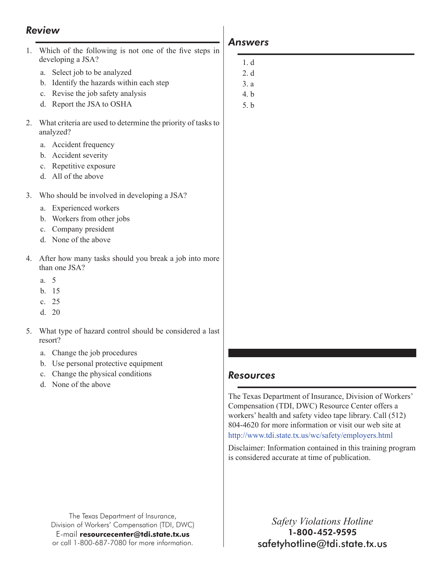#### *Review*

- 1. Which of the following is not one of the five steps in developing a JSA?
	- a. Select job to be analyzed
	- b. Identify the hazards within each step
	- c. Revise the job safety analysis
	- d. Report the JSA to OSHA
- 2. What criteria are used to determine the priority of tasks to analyzed?
	- a. Accident frequency
	- b. Accident severity
	- c. Repetitive exposure
	- d. All of the above
- 3. Who should be involved in developing a JSA?
	- a. Experienced workers
	- b. Workers from other jobs
	- c. Company president
	- d. None of the above
- 4. After how many tasks should you break a job into more than one JSA?
	- a. 5
	- b. 15
	- c. 25
	- $d = 20$
- 5. What type of hazard control should be considered a last resort?
	- a. Change the job procedures
	- b. Use personal protective equipment
	- c. Change the physical conditions
	- d. None of the above

#### The Texas Department of Insurance, Division of Workers' Compensation (TDI, DWC) E-mail **resourcecenter@tdi.state.tx.us** or call 1-800-687-7080 for more information.

#### *Answers*

- 1. d
- 2. d
- 3. a
- 4. b
- 5. b

#### *Resources*

The Texas Department of Insurance, Division of Workers' Compensation (TDI, DWC) Resource Center offers a workers' health and safety video tape library. Call (512) 804-4620 for more information or visit our web site at <http://www.tdi.state.tx.us/wc/safety/employers.html>

Disclaimer: Information contained in this training program is considered accurate at time of publication.

> *Safety Violations Hotline* 1-800-452-9595 safetyhotline@tdi.state.tx.us